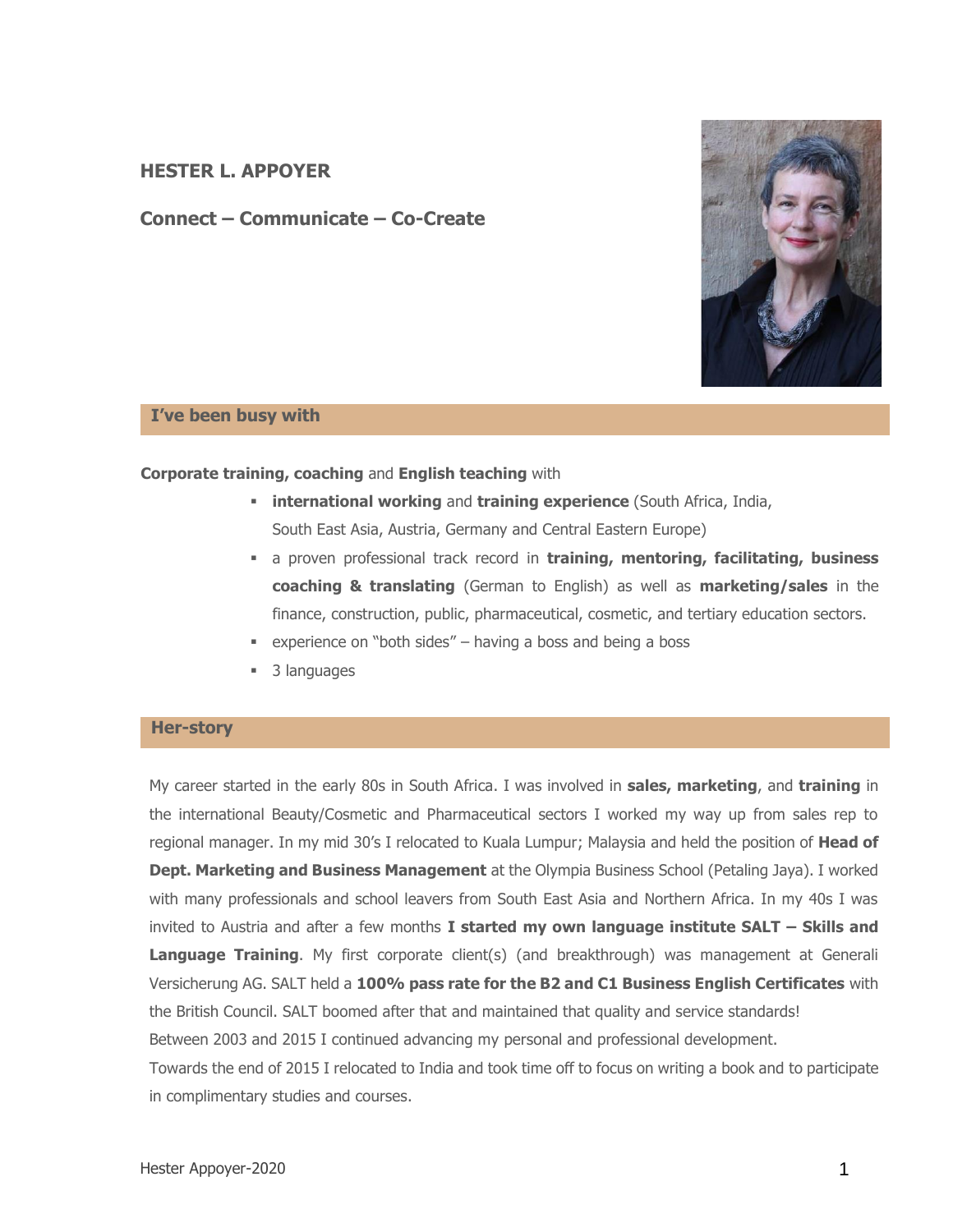# **HESTER L. APPOYER**

**Connect – Communicate – Co-Create**



### **I've been busy with**

#### **Corporate training, coaching** and **English teaching** with

- **international working** and **training experience** (South Africa, India, South East Asia, Austria, Germany and Central Eastern Europe)
- a proven professional track record in **training, mentoring, facilitating, business coaching & translating** (German to English) as well as **marketing/sales** in the finance, construction, public, pharmaceutical, cosmetic, and tertiary education sectors.
- $\bullet$  experience on "both sides" having a boss and being a boss
- 3 languages

### **Her-story**

My career started in the early 80s in South Africa. I was involved in **sales, marketing**, and **training** in the international Beauty/Cosmetic and Pharmaceutical sectors I worked my way up from sales rep to regional manager. In my mid 30's I relocated to Kuala Lumpur; Malaysia and held the position of **Head of Dept. Marketing and Business Management** at the Olympia Business School (Petaling Jaya). I worked with many professionals and school leavers from South East Asia and Northern Africa. In my 40s I was invited to Austria and after a few months **I started my own language institute SALT – Skills and Language Training**. My first corporate client(s) (and breakthrough) was management at Generali Versicherung AG. SALT held a **100% pass rate for the B2 and C1 Business English Certificates** with the British Council. SALT boomed after that and maintained that quality and service standards! Between 2003 and 2015 I continued advancing my personal and professional development. Towards the end of 2015 I relocated to India and took time off to focus on writing a book and to participate in complimentary studies and courses.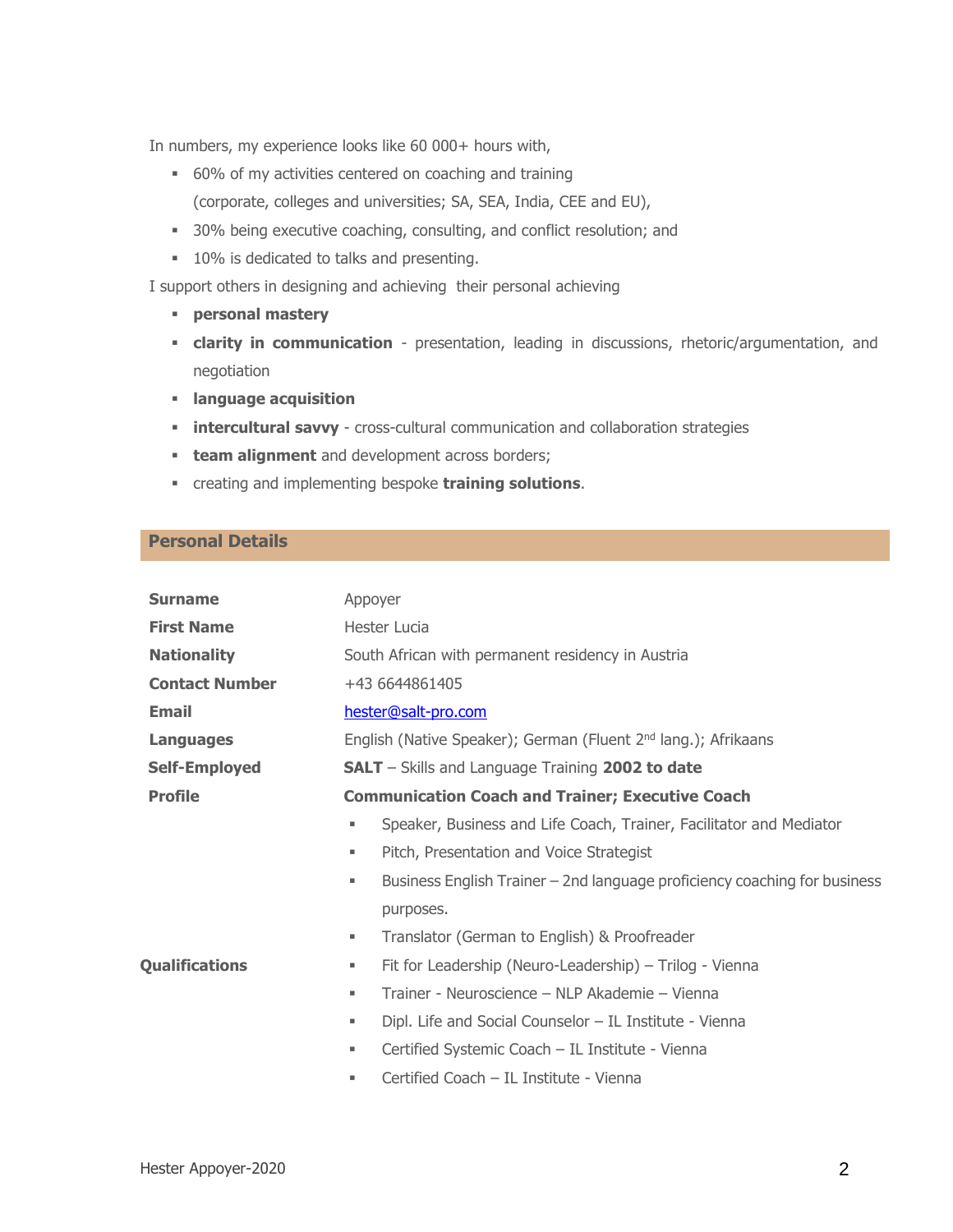In numbers, my experience looks like 60 000+ hours with,

- 60% of my activities centered on coaching and training (corporate, colleges and universities; SA, SEA, India, CEE and EU),
- 30% being executive coaching, consulting, and conflict resolution; and
- 10% is dedicated to talks and presenting.

I support others in designing and achieving their personal achieving

- **personal mastery**
- **clarity in communication** presentation, leading in discussions, rhetoric/argumentation, and negotiation
- **language acquisition**
- **· intercultural savvy** cross-cultural communication and collaboration strategies
- **team alignment** and development across borders;
- creating and implementing bespoke **training solutions**.

## **Personal Details**

| <b>Surname</b>        | Appoyer                                                                        |  |  |
|-----------------------|--------------------------------------------------------------------------------|--|--|
| <b>First Name</b>     | Hester Lucia                                                                   |  |  |
| <b>Nationality</b>    | South African with permanent residency in Austria                              |  |  |
| <b>Contact Number</b> | +43 6644861405                                                                 |  |  |
| <b>Email</b>          | hester@salt-pro.com                                                            |  |  |
| <b>Languages</b>      | English (Native Speaker); German (Fluent 2 <sup>nd</sup> lang.); Afrikaans     |  |  |
| <b>Self-Employed</b>  | <b>SALT</b> – Skills and Language Training 2002 to date                        |  |  |
| <b>Profile</b>        | <b>Communication Coach and Trainer; Executive Coach</b>                        |  |  |
|                       | Speaker, Business and Life Coach, Trainer, Facilitator and Mediator<br>٠       |  |  |
|                       | Pitch, Presentation and Voice Strategist<br>ш                                  |  |  |
|                       | Business English Trainer – 2nd language proficiency coaching for business<br>٠ |  |  |
|                       | purposes.                                                                      |  |  |
|                       | Translator (German to English) & Proofreader<br>٠                              |  |  |
| <b>Qualifications</b> | Fit for Leadership (Neuro-Leadership) – Trilog - Vienna<br>ш                   |  |  |
|                       | Trainer - Neuroscience – NLP Akademie – Vienna<br>٠                            |  |  |
|                       | Dipl. Life and Social Counselor - IL Institute - Vienna<br>٠                   |  |  |
|                       | Certified Systemic Coach - IL Institute - Vienna<br>٠                          |  |  |
|                       | Certified Coach - IL Institute - Vienna                                        |  |  |
|                       |                                                                                |  |  |